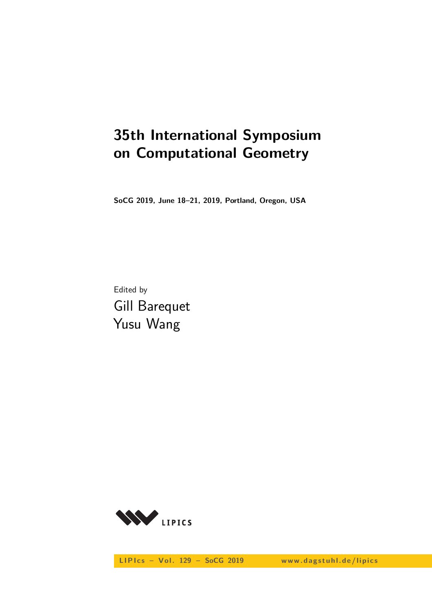# **35th International Symposium on Computational Geometry**

**SoCG 2019, June 18–21, 2019, Portland, Oregon, USA**

Edited by Gill Barequet Yusu Wang



LIPIcs - Vol. 129 - SoCG 2019 www.dagstuhl.de/lipics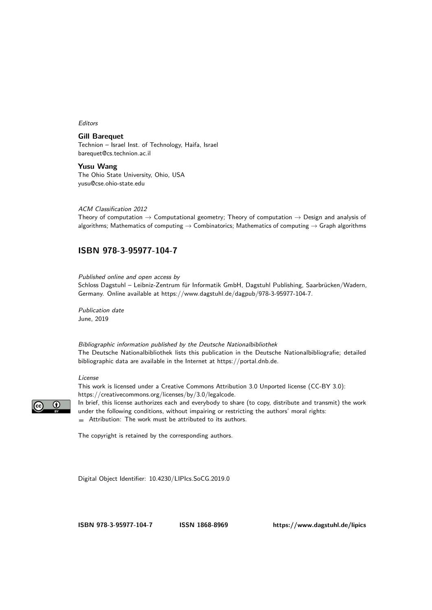#### Editors

**Gill Barequet** Technion – Israel Inst. of Technology, Haifa, Israel [barequet@cs.technion.ac.il](mailto:barequet@cs.technion.ac.il)

**Yusu Wang** The Ohio State University, Ohio, USA [yusu@cse.ohio-state.edu](mailto:yusu@cse.ohio-state.edu)

#### ACM Classification 2012

Theory of computation  $\rightarrow$  Computational geometry; Theory of computation  $\rightarrow$  Design and analysis of algorithms; Mathematics of computing  $\rightarrow$  Combinatorics; Mathematics of computing  $\rightarrow$  Graph algorithms

#### **[ISBN 978-3-95977-104-7](https://www.dagstuhl.de/dagpub/978-3-95977-104-7)**

Published online and open access by Schloss Dagstuhl – Leibniz-Zentrum für Informatik GmbH, Dagstuhl Publishing, Saarbrücken/Wadern, Germany. Online available at [https://www.dagstuhl.de/dagpub/978-3-95977-104-7.](https://www.dagstuhl.de/dagpub/978-3-95977-104-7)

Publication date June, 2019

Bibliographic information published by the Deutsche Nationalbibliothek The Deutsche Nationalbibliothek lists this publication in the Deutsche Nationalbibliografie; detailed bibliographic data are available in the Internet at [https://portal.dnb.de.](https://portal.dnb.de)

#### License

This work is licensed under a Creative Commons Attribution 3.0 Unported license (CC-BY 3.0): [https://creativecommons.org/licenses/by/3.0/legalcode.](https://creativecommons.org/licenses/by/3.0/legalcode)



In brief, this license authorizes each and everybody to share (to copy, distribute and transmit) the work under the following conditions, without impairing or restricting the authors' moral rights: Attribution: The work must be attributed to its authors.

The copyright is retained by the corresponding authors.

Digital Object Identifier: [10.4230/LIPIcs.SoCG.2019.0](https://doi.org/10.4230/LIPIcs.SoCG.2019.0)

**[ISBN 978-3-95977-104-7](https://www.dagstuhl.de/dagpub/978-3-95977-104-7) [ISSN 1868-8969](https://www.dagstuhl.de/dagpub/1868-8969)<https://www.dagstuhl.de/lipics>**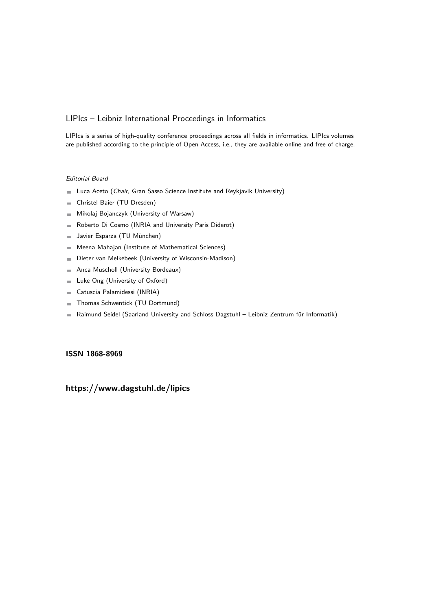#### LIPIcs – Leibniz International Proceedings in Informatics

LIPIcs is a series of high-quality conference proceedings across all fields in informatics. LIPIcs volumes are published according to the principle of Open Access, i.e., they are available online and free of charge.

#### Editorial Board

- **Luca Aceto** (*Chair*, Gran Sasso Science Institute and Reykjavik University)
- Christel Baier (TU Dresden)  $\overline{\phantom{a}}$
- Mikolaj Bojanczyk (University of Warsaw)  $\blacksquare$
- Roberto Di Cosmo (INRIA and University Paris Diderot)  $\equiv$
- Javier Esparza (TU München)  $\sim$
- Meena Mahajan (Institute of Mathematical Sciences)  $\overline{\phantom{a}}$
- Dieter van Melkebeek (University of Wisconsin-Madison)  $\blacksquare$
- Anca Muscholl (University Bordeaux)  $\blacksquare$
- Luke Ong (University of Oxford)  $\sim$
- Catuscia Palamidessi (INRIA)  $\blacksquare$
- Thomas Schwentick (TU Dortmund)
- Raimund Seidel (Saarland University and Schloss Dagstuhl Leibniz-Zentrum für Informatik)  $\blacksquare$

#### **[ISSN 1868-8969](https://www.dagstuhl.de/dagpub/1868-8969)**

### **<https://www.dagstuhl.de/lipics>**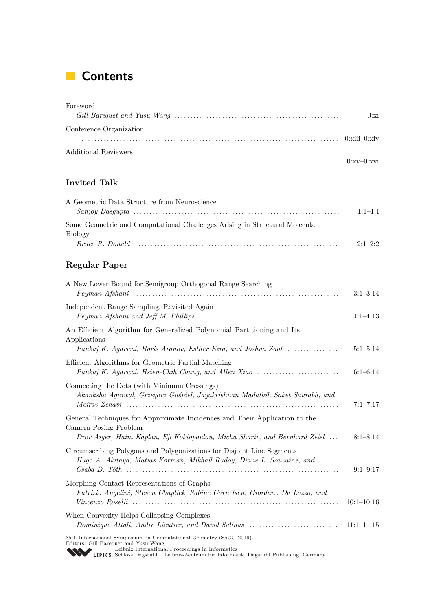## **Contents**

## Foreword *Gill Barequet and Yusu Wang* . . . . . . . . . . . . . . . . . . . . . . . . . . . . . . . . . . . . . . . . . . . . . . . . . . . . 0[:xi](#page-10-0) Conference Organization . . . . . . . . . . . . . . . . . . . . . . . . . . . . . . . . . . . . . . . . . . . . . . . . . . . . . . . . . . . . . . . . . . . . . . . . . . . . . . . . . 0[:xiii–](#page-12-0)0[:xiv](#page-13-0) Additional Reviewers . . . . . . . . . . . . . . . . . . . . . . . . . . . . . . . . . . . . . . . . . . . . . . . . . . . . . . . . . . . . . . . . . . . . . . . . . . . . . . . . . 0[:xv–](#page-14-0)0:xvi

### **Invited Talk**

| A Geometric Data Structure from Neuroscience                                |             |
|-----------------------------------------------------------------------------|-------------|
|                                                                             | $1:1-1:1$   |
| Some Geometric and Computational Challenges Arising in Structural Molecular |             |
| Biology                                                                     |             |
|                                                                             | $2.1 - 2.2$ |

### **Regular Paper**

| A New Lower Bound for Semigroup Orthogonal Range Searching                                                                                                                                                                                                | $3:1-3:14$   |
|-----------------------------------------------------------------------------------------------------------------------------------------------------------------------------------------------------------------------------------------------------------|--------------|
| Independent Range Sampling, Revisited Again                                                                                                                                                                                                               | $4:1-4:13$   |
| An Efficient Algorithm for Generalized Polynomial Partitioning and Its<br>Applications<br>Pankaj K. Agarwal, Boris Aronov, Esther Ezra, and Joshua Zahl                                                                                                   | $5:1-5:14$   |
| Efficient Algorithms for Geometric Partial Matching<br>Pankaj K. Agarwal, Hsien-Chih Chang, and Allen Xiao                                                                                                                                                | $6:1-6:14$   |
| Connecting the Dots (with Minimum Crossings)<br>Akanksha Agrawal, Grzegorz Guśpiel, Jayakrishnan Madathil, Saket Saurabh, and                                                                                                                             | $7:1 - 7:17$ |
| General Techniques for Approximate Incidences and Their Application to the<br>Camera Posing Problem<br>Dror Aiger, Haim Kaplan, Efi Kokiopoulou, Micha Sharir, and Bernhard Zeisl                                                                         | $8:1 - 8:14$ |
| Circumscribing Polygons and Polygonizations for Disjoint Line Segments<br>Hugo A. Akitaya, Matias Korman, Mikhail Rudoy, Diane L. Souvaine, and                                                                                                           | $9:1-9:17$   |
| Morphing Contact Representations of Graphs<br>Patrizio Angelini, Steven Chaplick, Sabine Cornelsen, Giordano Da Lozzo, and                                                                                                                                | $10:1-10:16$ |
| When Convexity Helps Collapsing Complexes<br>Dominique Attali, André Lieutier, and David Salinas                                                                                                                                                          | $11:1-11:15$ |
| 35th International Symposium on Computational Geometry (SoCG 2019).<br>Editors: Gill Barequet and Yusu Wang<br>Leibniz International Proceedings in Informatics<br>LIPICS Schloss Dagstuhl - Leibniz-Zentrum für Informatik, Dagstuhl Publishing, Germany |              |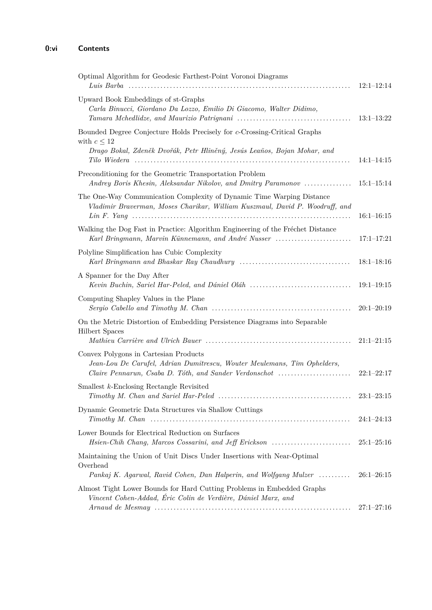| Optimal Algorithm for Geodesic Farthest-Point Voronoi Diagrams                                                                                                              | $12:1-12:14$   |
|-----------------------------------------------------------------------------------------------------------------------------------------------------------------------------|----------------|
| Upward Book Embeddings of st-Graphs<br>Carla Binucci, Giordano Da Lozzo, Emilio Di Giacomo, Walter Didimo,                                                                  | $13:1-13:22$   |
| Bounded Degree Conjecture Holds Precisely for c-Crossing-Critical Graphs<br>with $c \leq 12$<br>Drago Bokal, Zdeněk Dvořák, Petr Hliněný, Jesús Leaños, Bojan Mohar, and    | $14:1-14:15$   |
| Preconditioning for the Geometric Transportation Problem<br>Andrey Boris Khesin, Aleksandar Nikolov, and Dmitry Paramonov                                                   | $15:1-15:14$   |
| The One-Way Communication Complexity of Dynamic Time Warping Distance<br>Vladimir Braverman, Moses Charikar, William Kuszmaul, David P. Woodruff, and                       | $16:1 - 16:15$ |
| Walking the Dog Fast in Practice: Algorithm Engineering of the Fréchet Distance<br>Karl Bringmann, Marvin Künnemann, and André Nusser                                       | $17:1 - 17:21$ |
| Polyline Simplification has Cubic Complexity                                                                                                                                | $18:1-18:16$   |
| A Spanner for the Day After<br>Kevin Buchin, Sariel Har-Peled, and Dániel Oláh                                                                                              | $19:1-19:15$   |
| Computing Shapley Values in the Plane<br>Sergio Cabello and Timothy M. Chan $\ldots \ldots \ldots \ldots \ldots \ldots \ldots \ldots \ldots \ldots \ldots \ldots$           | $20:1-20:19$   |
| On the Metric Distortion of Embedding Persistence Diagrams into Separable<br><b>Hilbert Spaces</b>                                                                          | $21:1-21:15$   |
| Convex Polygons in Cartesian Products<br>Jean-Lou De Carufel, Adrian Dumitrescu, Wouter Meulemans, Tim Ophelders,<br>Claire Pennarun, Csaba D. Tóth, and Sander Verdonschot | $22:1-22:17$   |
| Smallest $k$ -Enclosing Rectangle Revisited                                                                                                                                 | $23:1-23:15$   |
| Dynamic Geometric Data Structures via Shallow Cuttings                                                                                                                      | $24:1-24:13$   |
| Lower Bounds for Electrical Reduction on Surfaces<br>Hsien-Chih Chang, Marcos Cossarini, and Jeff Erickson                                                                  | $25:1-25:16$   |
| Maintaining the Union of Unit Discs Under Insertions with Near-Optimal<br>Overhead                                                                                          |                |
| Pankaj K. Agarwal, Ravid Cohen, Dan Halperin, and Wolfgang Mulzer                                                                                                           | $26:1-26:15$   |
| Almost Tight Lower Bounds for Hard Cutting Problems in Embedded Graphs<br>Vincent Cohen-Addad, Éric Colin de Verdière, Dániel Marx, and                                     | $27:1 - 27:16$ |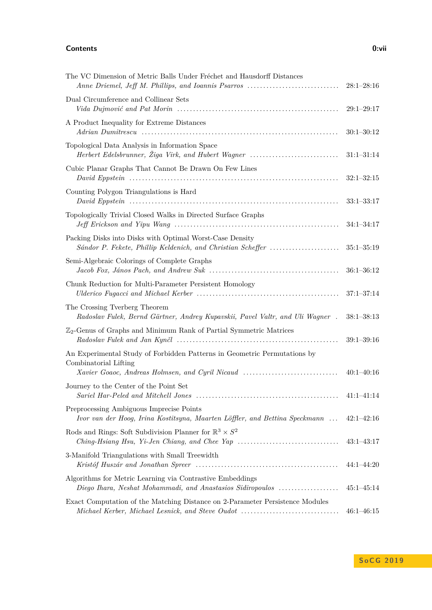#### **Contents 0:vii**

| The VC Dimension of Metric Balls Under Fréchet and Hausdorff Distances                                                                                                                    | $28:1-28:16$   |
|-------------------------------------------------------------------------------------------------------------------------------------------------------------------------------------------|----------------|
| Dual Circumference and Collinear Sets                                                                                                                                                     | $29:1-29:17$   |
| A Product Inequality for Extreme Distances                                                                                                                                                | $30:1 - 30:12$ |
| Topological Data Analysis in Information Space<br>Herbert Edelsbrunner, Žiga Virk, and Hubert Wagner                                                                                      | $31:1 - 31:14$ |
| Cubic Planar Graphs That Cannot Be Drawn On Few Lines                                                                                                                                     | $32:1-32:15$   |
| Counting Polygon Triangulations is Hard                                                                                                                                                   | $33:1-33:17$   |
| Topologically Trivial Closed Walks in Directed Surface Graphs                                                                                                                             | $34:1 - 34:17$ |
| Packing Disks into Disks with Optimal Worst-Case Density<br>Sándor P. Fekete, Phillip Keldenich, and Christian Scheffer                                                                   | $35:1 - 35:19$ |
| Semi-Algebraic Colorings of Complete Graphs<br>$Jacob \; Fox, \; János \; Pach, \; and \; Andrew \; Suk \; \dots \dots \dots \dots \dots \dots \dots \dots \dots \dots \dots \dots \dots$ | $36:1 - 36:12$ |
| Chunk Reduction for Multi-Parameter Persistent Homology                                                                                                                                   | $37:1 - 37:14$ |
| The Crossing Tverberg Theorem<br>Radoslav Fulek, Bernd Gärtner, Andrey Kupavskii, Pavel Valtr, and Uli Wagner.                                                                            | $38:1 - 38:13$ |
| $\mathbb{Z}_2$ -Genus of Graphs and Minimum Rank of Partial Symmetric Matrices                                                                                                            | $39:1 - 39:16$ |
| An Experimental Study of Forbidden Patterns in Geometric Permutations by<br>Combinatorial Lifting<br>Xavier Goaoc, Andreas Holmsen, and Cyril Nicaud                                      | $40:1 - 40:16$ |
| Journey to the Center of the Point Set                                                                                                                                                    | $41:1-41:14$   |
| Preprocessing Ambiguous Imprecise Points<br>Ivor van der Hoog, Irina Kostitsyna, Maarten Löffler, and Bettina Speckmann                                                                   | $42:1 - 42:16$ |
| Rods and Rings: Soft Subdivision Planner for $\mathbb{R}^3 \times S^2$                                                                                                                    | $43:1-43:17$   |
| 3-Manifold Triangulations with Small Treewidth                                                                                                                                            | $44:1 - 44:20$ |
| Algorithms for Metric Learning via Contrastive Embeddings<br>Diego Ihara, Neshat Mohammadi, and Anastasios Sidiropoulos                                                                   | $45:1 - 45:14$ |
| Exact Computation of the Matching Distance on 2-Parameter Persistence Modules<br>Michael Kerber, Michael Lesnick, and Steve Oudot                                                         | $46:1 - 46:15$ |

**S o C G 2 0 1 9**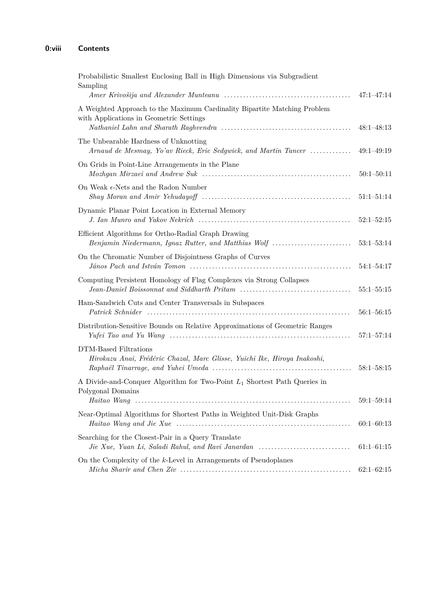| Probabilistic Smallest Enclosing Ball in High Dimensions via Subgradient<br>Sampling                                                                                                                                                                                                     |                |
|------------------------------------------------------------------------------------------------------------------------------------------------------------------------------------------------------------------------------------------------------------------------------------------|----------------|
|                                                                                                                                                                                                                                                                                          | $47:1 - 47:14$ |
| A Weighted Approach to the Maximum Cardinality Bipartite Matching Problem<br>with Applications in Geometric Settings                                                                                                                                                                     | $48:1 - 48:13$ |
| The Unbearable Hardness of Unknotting<br>Arnaud de Mesmay, Yo'av Rieck, Eric Sedgwick, and Martin Tancer                                                                                                                                                                                 | $49:1 - 49:19$ |
| On Grids in Point-Line Arrangements in the Plane<br>$Mozhgan$ Mirzaei and Andrew Suk $\ldots \ldots \ldots \ldots \ldots \ldots \ldots \ldots \ldots \ldots \ldots \ldots \ldots$                                                                                                        | $50:1 - 50:11$ |
| On Weak $\epsilon$ -Nets and the Radon Number                                                                                                                                                                                                                                            | $51:1 - 51:14$ |
| Dynamic Planar Point Location in External Memory                                                                                                                                                                                                                                         | $52:1 - 52:15$ |
| Efficient Algorithms for Ortho-Radial Graph Drawing<br>Benjamin Niedermann, Ignaz Rutter, and Matthias Wolf                                                                                                                                                                              | $53:1 - 53:14$ |
| On the Chromatic Number of Disjointness Graphs of Curves                                                                                                                                                                                                                                 | $54:1 - 54:17$ |
| Computing Persistent Homology of Flag Complexes via Strong Collapses                                                                                                                                                                                                                     | $55:1 - 55:15$ |
| Ham-Sandwich Cuts and Center Transversals in Subspaces<br>Patrick Schnider (and the continuum continuum continuum continuum continuum continuum continuum continuum continuum continuum continuum continuum continuum continuum continuum continuum continuum continuum continuum contin | $56:1 - 56:15$ |
| Distribution-Sensitive Bounds on Relative Approximations of Geometric Ranges                                                                                                                                                                                                             | $57:1 - 57:14$ |
| DTM-Based Filtrations<br>Hirokazu Anai, Frédéric Chazal, Marc Glisse, Yuichi Ike, Hiroya Inakoshi,                                                                                                                                                                                       | $58:1 - 58:15$ |
| A Divide-and-Conquer Algorithm for Two-Point $L_1$ Shortest Path Queries in<br>Polygonal Domains                                                                                                                                                                                         | $59:1 - 59:14$ |
| Near-Optimal Algorithms for Shortest Paths in Weighted Unit-Disk Graphs                                                                                                                                                                                                                  | $60:1 - 60:13$ |
| Searching for the Closest-Pair in a Query Translate<br>Jie Xue, Yuan Li, Saladi Rahul, and Ravi Janardan                                                                                                                                                                                 | $61:1-61:15$   |
| On the Complexity of the $k$ -Level in Arrangements of Pseudoplanes                                                                                                                                                                                                                      | $62:1-62:15$   |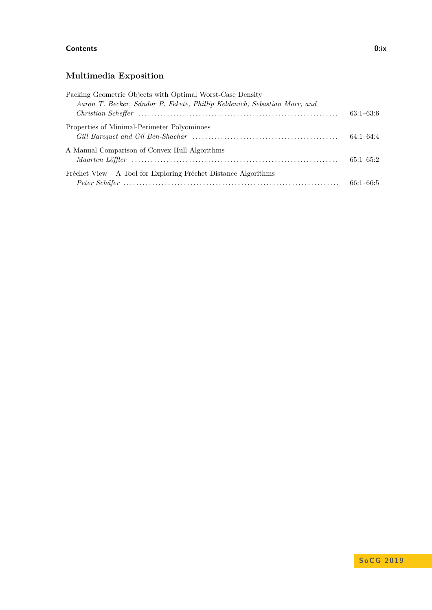#### **Contents 0:ix**

## **Multimedia Exposition**

| Packing Geometric Objects with Optimal Worst-Case Density<br>Aaron T. Becker, Sándor P. Fekete, Phillip Keldenich, Sebastian Morr, and |               |
|----------------------------------------------------------------------------------------------------------------------------------------|---------------|
|                                                                                                                                        | $63:1-63:6$   |
| Properties of Minimal-Perimeter Polyominoes                                                                                            | $64:1-64:4$   |
| A Manual Comparison of Convex Hull Algorithms                                                                                          | $65:1-65:2$   |
| Fréchet View – A Tool for Exploring Fréchet Distance Algorithms                                                                        | $66:1 - 66:5$ |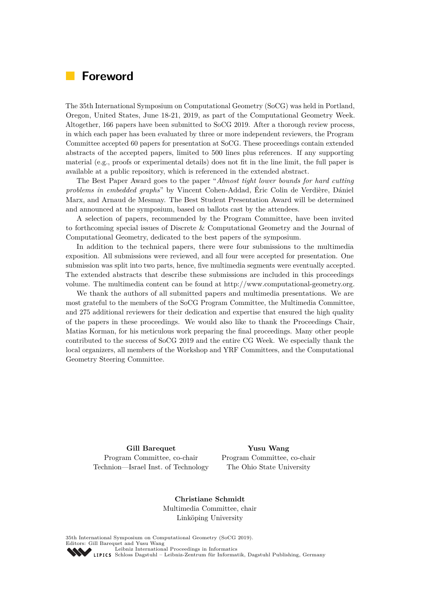## <span id="page-10-0"></span>**Foreword**

The 35th International Symposium on Computational Geometry (SoCG) was held in Portland, Oregon, United States, June 18-21, 2019, as part of the Computational Geometry Week. Altogether, 166 papers have been submitted to SoCG 2019. After a thorough review process, in which each paper has been evaluated by three or more independent reviewers, the Program Committee accepted 60 papers for presentation at SoCG. These proceedings contain extended abstracts of the accepted papers, limited to 500 lines plus references. If any supporting material (e.g., proofs or experimental details) does not fit in the line limit, the full paper is available at a public repository, which is referenced in the extended abstract.

The Best Paper Award goes to the paper "*Almost tight lower bounds for hard cutting problems in embedded graphs*" by Vincent Cohen-Addad, Éric Colin de Verdière, Dániel Marx, and Arnaud de Mesmay. The Best Student Presentation Award will be determined and announced at the symposium, based on ballots cast by the attendees.

A selection of papers, recommended by the Program Committee, have been invited to forthcoming special issues of Discrete & Computational Geometry and the Journal of Computational Geometry, dedicated to the best papers of the symposium.

In addition to the technical papers, there were four submissions to the multimedia exposition. All submissions were reviewed, and all four were accepted for presentation. One submission was split into two parts, hence, five multimedia segments were eventually accepted. The extended abstracts that describe these submissions are included in this proceedings volume. The multimedia content can be found at [http://www.computational-geometry.org.](http://www.computational-geometry.org)

We thank the authors of all submitted papers and multimedia presentations. We are most grateful to the members of the SoCG Program Committee, the Multimedia Committee, and 275 additional reviewers for their dedication and expertise that ensured the high quality of the papers in these proceedings. We would also like to thank the Proceedings Chair, Matias Korman, for his meticulous work preparing the final proceedings. Many other people contributed to the success of SoCG 2019 and the entire CG Week. We especially thank the local organizers, all members of the Workshop and YRF Committees, and the Computational Geometry Steering Committee.

**Gill Barequet** Program Committee, co-chair Technion—Israel Inst. of Technology

**Yusu Wang** Program Committee, co-chair The Ohio State University

**Christiane Schmidt** Multimedia Committee, chair Linköping University

35th International Symposium on Computational Geometry (SoCG 2019). Editors: Gill Barequet and Yusu Wang [Leibniz International Proceedings in Informatics](https://www.dagstuhl.de/lipics/) [Schloss Dagstuhl – Leibniz-Zentrum für Informatik, Dagstuhl Publishing, Germany](https://www.dagstuhl.de)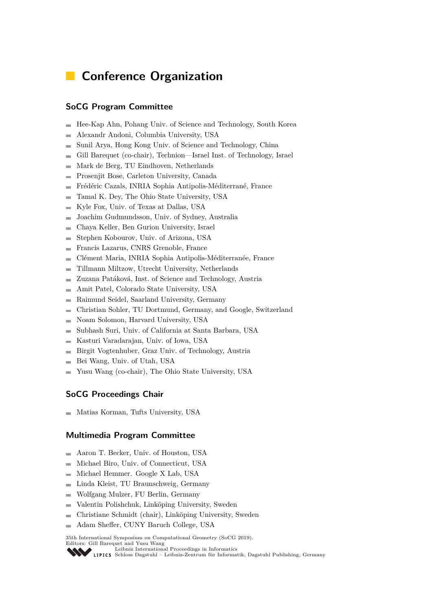## <span id="page-12-0"></span>**E** Conference Organization

#### **SoCG Program Committee**

- Hee-Kap Ahn, Pohang Univ. of Science and Technology, South Korea m.
- Alexandr Andoni, Columbia University, USA  $\overline{\phantom{a}}$
- Sunil Arya, Hong Kong Univ. of Science and Technology, China
- Gill Barequet (co-chair), Technion—Israel Inst. of Technology, Israel Ė
- Mark de Berg, TU Eindhoven, Netherlands Ē.
- Prosenjit Bose, Carleton University, Canada Ē.
- Frédéric Cazals, INRIA Sophia Antipolis-Méditerrané, France
- Tamal K. Dey, The Ohio State University, USA  $\overline{a}$
- Kyle Fox, Univ. of Texas at Dallas, USA  $\blacksquare$
- Joachim Gudmundsson, Univ. of Sydney, Australia  $\overline{a}$
- Chaya Keller, Ben Gurion University, Israel ÷
- Stephen Kobourov, Univ. of Arizona, USA  $\rightarrow$
- Francis Lazarus, CNRS Grenoble, France  $\overline{\phantom{0}}$
- Clément Maria, INRIA Sophia Antipolis-Méditerranée, France  $\blacksquare$
- Tillmann Miltzow, Utrecht University, Netherlands  $\rightarrow$
- Zuzana Patáková, Inst. of Science and Technology, Austria  $\blacksquare$
- Amit Patel, Colorado State University, USA ÷
- Raimund Seidel, Saarland University, Germany  $\sim$
- Christian Sohler, TU Dortmund, Germany, and Google, Switzerland ۰
- Noam Solomon, Harvard University, USA  $\blacksquare$
- Subhash Suri, Univ. of California at Santa Barbara, USA  $\overline{a}$
- Kasturi Varadarajan, Univ. of Iowa, USA
- Birgit Vogtenhuber, Graz Univ. of Technology, Austria Ē.
- Bei Wang, Univ. of Utah, USA
- Yusu Wang (co-chair), The Ohio State University, USA

#### **SoCG Proceedings Chair**

 $\blacksquare$  Matias Korman, Tufts University, USA

#### **Multimedia Program Committee**

- Aaron T. Becker, Univ. of Houston, USA  $\sim$
- Michael Biro, Univ. of Connecticut, USA  $\overline{a}$
- Michael Hemmer. Google X Lab, USA ÷
- Linda Kleist, TU Braunschweig, Germany Ē.
- Wolfgang Mulzer, FU Berlin, Germany  $\overline{a}$
- Valentin Polishchuk, Linköping University, Sweden  $\overline{a}$
- Christiane Schmidt (chair), Linköping University, Sweden ÷
- Adam Sheffer, CUNY Baruch College, USA  $\rightarrow$

35th International Symposium on Computational Geometry (SoCG 2019).

Editors: Gill Barequet and Yusu Wang [Leibniz International Proceedings in Informatics](https://www.dagstuhl.de/lipics/)

SCHLOSS Dagstuhl – Leibniz-Zentrum für Informatik, Dagstuhl Publishing, Germany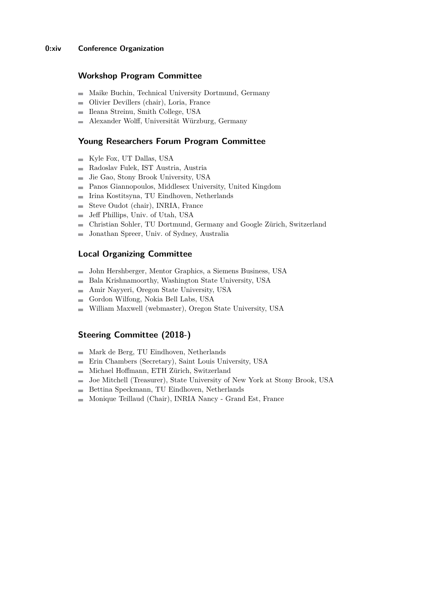#### **0:xiv Conference Organization**

#### **Workshop Program Committee**

- Maike Buchin, Technical University Dortmund, Germany
- Olivier Devillers (chair), Loria, France  $\sim$
- Ileana Streinu, Smith College, USA  $\sim$
- Alexander Wolff, Universität Würzburg, Germany

#### **Young Researchers Forum Program Committee**

- $\blacksquare$  Kyle Fox, UT Dallas, USA
- Radoslav Fulek, IST Austria, Austria  $\overline{\phantom{a}}$
- Jie Gao, Stony Brook University, USA m.
- Panos Giannopoulos, Middlesex University, United Kingdom  $\blacksquare$
- Irina Kostitsyna, TU Eindhoven, Netherlands  $\overline{a}$
- Steve Oudot (chair), INRIA, France  $\equiv$
- Jeff Phillips, Univ. of Utah, USA  $\blacksquare$
- Christian Sohler, TU Dortmund, Germany and Google Zürich, Switzerland  $\rightarrow$
- Jonathan Spreer, Univ. of Sydney, Australia  $\overline{a}$

#### <span id="page-13-0"></span>**Local Organizing Committee**

- John Hershberger, Mentor Graphics, a Siemens Business, USA
- Bala Krishnamoorthy, Washington State University, USA
- Amir Nayyeri, Oregon State University, USA  $\equiv$
- Gordon Wilfong, Nokia Bell Labs, USA  $\sim$
- William Maxwell (webmaster), Oregon State University, USA  $\sim$

#### **Steering Committee (2018-)**

- $\blacksquare$  Mark de Berg, TU Eindhoven, Netherlands
- Erin Chambers (Secretary), Saint Louis University, USA
- Michael Hoffmann, ETH Zürich, Switzerland m.
- Joe Mitchell (Treasurer), State University of New York at Stony Brook, USA  $\blacksquare$
- Bettina Speckmann, TU Eindhoven, Netherlands
- Monique Teillaud (Chair), INRIA Nancy Grand Est, France $\equiv$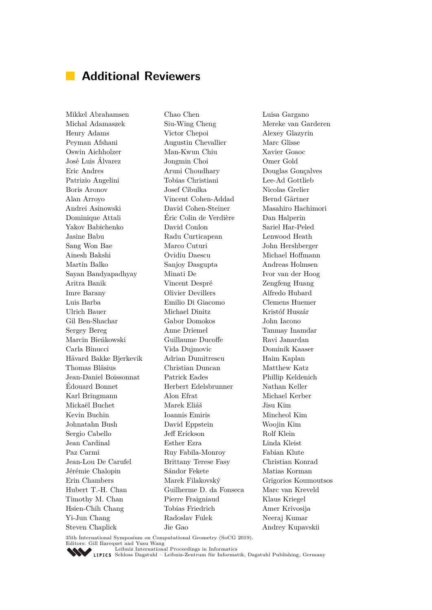## <span id="page-14-0"></span>**Additional Reviewers**

Mikkel Abrahamsen Michal Adamaszek Henry Adams Peyman Afshani Oswin Aichholzer José Luis Álvarez Eric Andres Patrizio Angelini Boris Aronov Alan Arroyo Andrei Asinowski Dominique Attali Yakov Babichenko Jasine Babu Sang Won Bae Ainesh Bakshi Martin Balko Sayan Bandyapadhyay Aritra Banik Imre Barany Luis Barba Ulrich Bauer Gil Ben-Shachar Sergey Bereg Marcin Bieńkowski Carla Binucci Håvard Bakke Bjerkevik Thomas Bläsius Jean-Daniel Boissonnat Édouard Bonnet Karl Bringmann Mickaël Buchet Kevin Buchin Johnatahn Bush Sergio Cabello Jean Cardinal Paz Carmi Jean-Lou De Carufel Jérémie Chalopin Erin Chambers Hubert T.-H. Chan Timothy M. Chan Hsien-Chih Chang Yi-Jun Chang Steven Chaplick

Chao Chen Siu-Wing Cheng Victor Chepoi Augustin Chevallier Man-Kwun Chiu Jongmin Choi Aruni Choudhary Tobias Christiani Josef Cibulka Vincent Cohen-Addad David Cohen-Steiner Éric Colin de Verdière David Conlon Radu Curticapean Marco Cuturi Ovidiu Daescu Sanjoy Dasgupta Minati De Vincent Despré Olivier Devillers Emilio Di Giacomo Michael Dinitz Gabor Domokos Anne Driemel Guillaume Ducoffe Vida Dujmovic Adrian Dumitrescu Christian Duncan Patrick Eades Herbert Edelsbrunner Alon Efrat Marek Eliáš Ioannis Emiris David Eppstein Jeff Erickson Esther Ezra Ruy Fabila-Monroy Brittany Terese Fasy Sándor Fekete Marek Filakovský Guilherme D. da Fonseca Pierre Fraigniaud Tobias Friedrich Radoslav Fulek Jie Gao

Luisa Gargano Mereke van Garderen Alexey Glazyrin Marc Glisse Xavier Goaoc Omer Gold Douglas Gonçalves Lee-Ad Gottlieb Nicolas Grelier Bernd Gärtner Masahiro Hachimori Dan Halperin Sariel Har-Peled Lenwood Heath John Hershberger Michael Hoffmann Andreas Holmsen Ivor van der Hoog Zengfeng Huang Alfredo Hubard Clemens Huemer Kristóf Huszár John Iacono Tanmay Inamdar Ravi Janardan Dominik Kaaser Haim Kaplan Matthew Katz Phillip Keldenich Nathan Keller Michael Kerber Jisu Kim Mincheol Kim Woojin Kim Rolf Klein Linda Kleist Fabian Klute Christian Konrad Matias Korman Grigorios Koumoutsos Marc van Kreveld Klaus Kriegel Amer Krivosija Neeraj Kumar Andrey Kupavskii

35th International Symposium on Computational Geometry (SoCG 2019). Editors: Gill Barequet and Yusu Wang [Leibniz International Proceedings in Informatics](https://www.dagstuhl.de/lipics/)

SCHLOSS Dagstuhl – Leibniz-Zentrum für Informatik, Dagstuhl Publishing, Germany